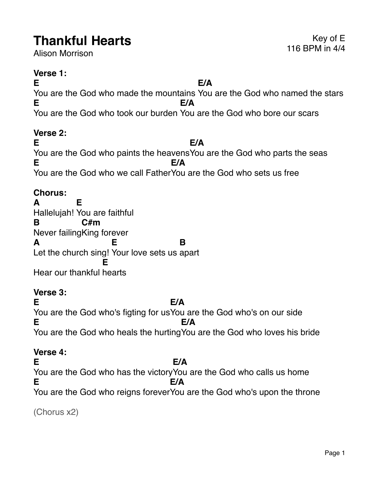# **Thankful Hearts** Expedition of Exercise 116 BPM in 4/4

Alison Morrison

#### **Verse 1:**

**E** You are the God who made the mountains You are the God who named the stars **E/A E** You are the God who took our burden You are the God who bore our scars **E/A**

#### **Verse 2:**

**E** You are the God who paints the heavens You are the God who parts the seas **E/A E** You are the God who we call Father You are the God who sets us free **E/A**

## **Chorus:**

**A** Hallelujah! You are faithful **E B** Never failing King forever **C#m A** Let the church sing! Your love sets us apart **E B** Hear our thankful hearts **E**

## **Verse 3:**

**E** You are the God who's figting for usYou are the God who's on our side **E/A E** You are the God who heals the hurting You are the God who loves his bride **E/A**

## **Verse 4:**

**E** You are the God who has the victory You are the God who calls us home **E/A E** You are the God who reigns forever You are the God who's upon the throne **E/A**

(Chorus x2)